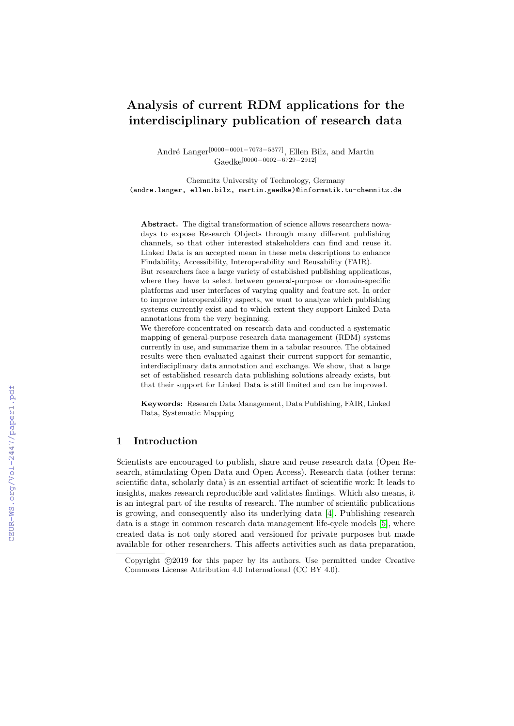# Analysis of current RDM applications for the interdisciplinary publication of research data

André Langer<sup>[0000−0001−7073−5377]</sup>, Ellen Bilz, and Martin Gaedke[0000−0002−6729−2912]

Chemnitz University of Technology, Germany (andre.langer, ellen.bilz, martin.gaedke)@informatik.tu-chemnitz.de

Abstract. The digital transformation of science allows researchers nowadays to expose Research Objects through many different publishing channels, so that other interested stakeholders can find and reuse it. Linked Data is an accepted mean in these meta descriptions to enhance Findability, Accessibility, Interoperability and Reusability (FAIR).

But researchers face a large variety of established publishing applications, where they have to select between general-purpose or domain-specific platforms and user interfaces of varying quality and feature set. In order to improve interoperability aspects, we want to analyze which publishing systems currently exist and to which extent they support Linked Data annotations from the very beginning.

We therefore concentrated on research data and conducted a systematic mapping of general-purpose research data management (RDM) systems currently in use, and summarize them in a tabular resource. The obtained results were then evaluated against their current support for semantic, interdisciplinary data annotation and exchange. We show, that a large set of established research data publishing solutions already exists, but that their support for Linked Data is still limited and can be improved.

Keywords: Research Data Management, Data Publishing, FAIR, Linked Data, Systematic Mapping

# 1 Introduction

Scientists are encouraged to publish, share and reuse research data (Open Research, stimulating Open Data and Open Access). Research data (other terms: scientific data, scholarly data) is an essential artifact of scientific work: It leads to insights, makes research reproducible and validates findings. Which also means, it is an integral part of the results of research. The number of scientific publications is growing, and consequently also its underlying data [\[4\]](#page--1-0). Publishing research data is a stage in common research data management life-cycle models [\[5\]](#page--1-1), where created data is not only stored and versioned for private purposes but made available for other researchers. This affects activities such as data preparation,

Copyright  $\odot$ 2019 for this paper by its authors. Use permitted under Creative Commons License Attribution 4.0 International (CC BY 4.0).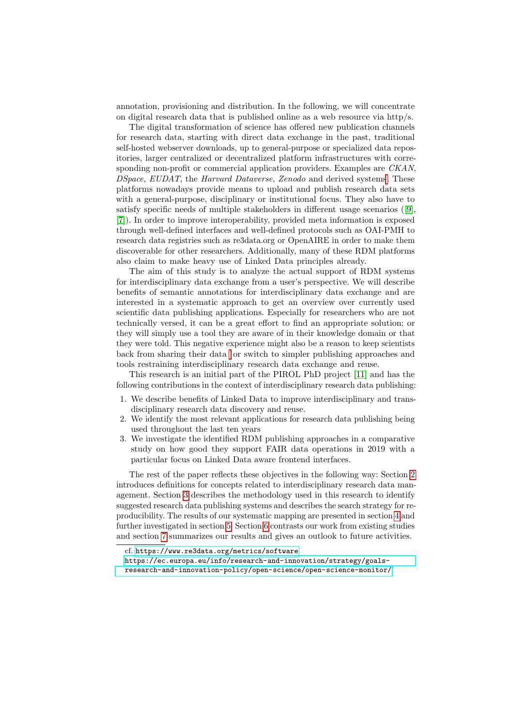annotation, provisioning and distribution. In the following, we will concentrate on digital research data that is published online as a web resource via http/s.

The digital transformation of science has offered new publication channels for research data, starting with direct data exchange in the past, traditional self-hosted webserver downloads, up to general-purpose or specialized data repositories, larger centralized or decentralized platform infrastructures with corresponding non-profit or commercial application providers. Examples are CKAN, DSpace, EUDAT, the Harvard Dataverse, Zenodo and derived system[s.](#page-1-0) These platforms nowadays provide means to upload and publish research data sets with a general-purpose, disciplinary or institutional focus. They also have to satisfy specific needs of multiple stakeholders in different usage scenarios ([\[9\]](#page-11-0), [\[7\]](#page-11-1)). In order to improve interoperability, provided meta information is exposed through well-defined interfaces and well-defined protocols such as OAI-PMH to research data registries such as re3data.org or OpenAIRE in order to make them discoverable for other researchers. Additionally, many of these RDM platforms also claim to make heavy use of Linked Data principles already.

The aim of this study is to analyze the actual support of RDM systems for interdisciplinary data exchange from a user's perspective. We will describe benefits of semantic annotations for interdisciplinary data exchange and are interested in a systematic approach to get an overview over currently used scientific data publishing applications. Especially for researchers who are not technically versed, it can be a great effort to find an appropriate solution; or they will simply use a tool they are aware of in their knowledge domain or that they were told. This negative experience might also be a reason to keep scientists back from sharing their data or switch to simpler publishing approaches and tools restraining interdisciplinary research data exchange and reuse.

This research is an initial part of the PIROL PhD project [\[11\]](#page-11-2) and has the following contributions in the context of interdisciplinary research data publishing:

- 1. We describe benefits of Linked Data to improve interdisciplinary and transdisciplinary research data discovery and reuse.
- We identify the most relevant applications for research data publishing being used throughout the last ten years
- 3. We investigate the identified RDM publishing approaches in a comparative study on how good they support FAIR data operations in 2019 with a particular focus on Linked Data aware frontend interfaces.

The rest of the paper reflects these objectives in the following way: Section [2](#page-2-0) introduces definitions for concepts related to interdisciplinary research data management. Section [3](#page-3-0) describes the methodology used in this research to identify suggested research data publishing systems and describes the search strategy for reproducibility. The results of our systematic mapping are presented in section [4](#page-4-0) and further investigated in section [5.](#page-7-0) Section [6](#page-10-0) contrasts our work from existing studies and section [7](#page-10-1) summarizes our results and gives an outlook to future activities.

<span id="page-1-0"></span>cf. <https://www.re3data.org/metrics/software>

<span id="page-1-1"></span>[https://ec.europa.eu/info/research-and-innovation/strategy/goals](https://ec.europa.eu/info/research-and-innovation/strategy/goals-research-and-innovation-policy/open-science/open-science-monitor/)[research-and-innovation-policy/open-science/open-science-monitor/](https://ec.europa.eu/info/research-and-innovation/strategy/goals-research-and-innovation-policy/open-science/open-science-monitor/)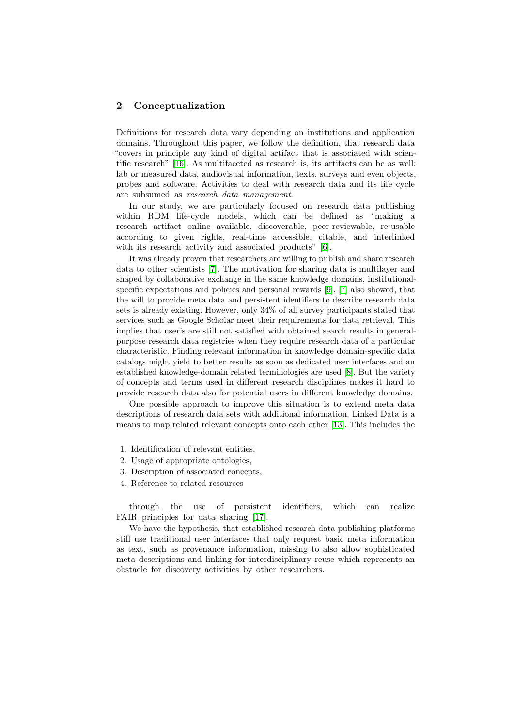## <span id="page-2-0"></span>2 Conceptualization

Definitions for research data vary depending on institutions and application domains. Throughout this paper, we follow the definition, that research data "covers in principle any kind of digital artifact that is associated with scientific research" [\[16\]](#page-11-3). As multifaceted as research is, its artifacts can be as well: lab or measured data, audiovisual information, texts, surveys and even objects, probes and software. Activities to deal with research data and its life cycle are subsumed as research data management.

In our study, we are particularly focused on research data publishing within RDM life-cycle models, which can be defined as "making a research artifact online available, discoverable, peer-reviewable, re-usable according to given rights, real-time accessible, citable, and interlinked with its research activity and associated products" [\[6\]](#page-11-4).

It was already proven that researchers are willing to publish and share research data to other scientists [\[7\]](#page-11-1). The motivation for sharing data is multilayer and shaped by collaborative exchange in the same knowledge domains, institutionalspecific expectations and policies and personal rewards [\[9\]](#page-11-0). [\[7\]](#page-11-1) also showed, that the will to provide meta data and persistent identifiers to describe research data sets is already existing. However, only 34% of all survey participants stated that services such as Google Scholar meet their requirements for data retrieval. This implies that user's are still not satisfied with obtained search results in generalpurpose research data registries when they require research data of a particular characteristic. Finding relevant information in knowledge domain-specific data catalogs might yield to better results as soon as dedicated user interfaces and an established knowledge-domain related terminologies are used [\[8\]](#page-11-5). But the variety of concepts and terms used in different research disciplines makes it hard to provide research data also for potential users in different knowledge domains.

One possible approach to improve this situation is to extend meta data descriptions of research data sets with additional information. Linked Data is a means to map related relevant concepts onto each other [\[13\]](#page-11-6). This includes the

- 1. Identification of relevant entities,
- 2. Usage of appropriate ontologies,
- 3. Description of associated concepts,
- 4. Reference to related resources

through the use of persistent identifiers, which can realize FAIR principles for data sharing [\[17\]](#page-11-7).

We have the hypothesis, that established research data publishing platforms still use traditional user interfaces that only request basic meta information as text, such as provenance information, missing to also allow sophisticated meta descriptions and linking for interdisciplinary reuse which represents an obstacle for discovery activities by other researchers.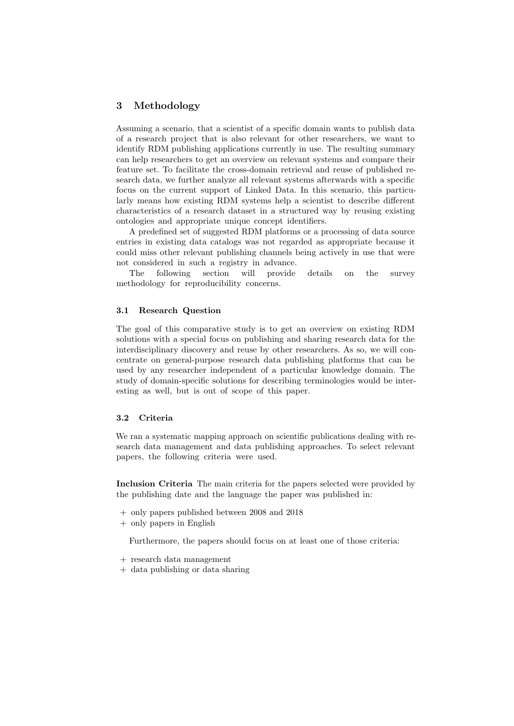## <span id="page-3-0"></span>3 Methodology

Assuming a scenario, that a scientist of a specific domain wants to publish data of a research project that is also relevant for other researchers, we want to identify RDM publishing applications currently in use. The resulting summary can help researchers to get an overview on relevant systems and compare their feature set. To facilitate the cross-domain retrieval and reuse of published research data, we further analyze all relevant systems afterwards with a specific focus on the current support of Linked Data. In this scenario, this particularly means how existing RDM systems help a scientist to describe different characteristics of a research dataset in a structured way by reusing existing ontologies and appropriate unique concept identifiers.

A predefined set of suggested RDM platforms or a processing of data source entries in existing data catalogs was not regarded as appropriate because it could miss other relevant publishing channels being actively in use that were not considered in such a registry in advance.

The following section will provide details on the survey methodology for reproducibility concerns.

#### 3.1 Research Question

The goal of this comparative study is to get an overview on existing RDM solutions with a special focus on publishing and sharing research data for the interdisciplinary discovery and reuse by other researchers. As so, we will concentrate on general-purpose research data publishing platforms that can be used by any researcher independent of a particular knowledge domain. The study of domain-specific solutions for describing terminologies would be interesting as well, but is out of scope of this paper.

#### 3.2 Criteria

We ran a systematic mapping approach on scientific publications dealing with research data management and data publishing approaches. To select relevant papers, the following criteria were used.

Inclusion Criteria The main criteria for the papers selected were provided by the publishing date and the language the paper was published in:

- + only papers published between 2008 and 2018
- + only papers in English

Furthermore, the papers should focus on at least one of those criteria:

- + research data management
- + data publishing or data sharing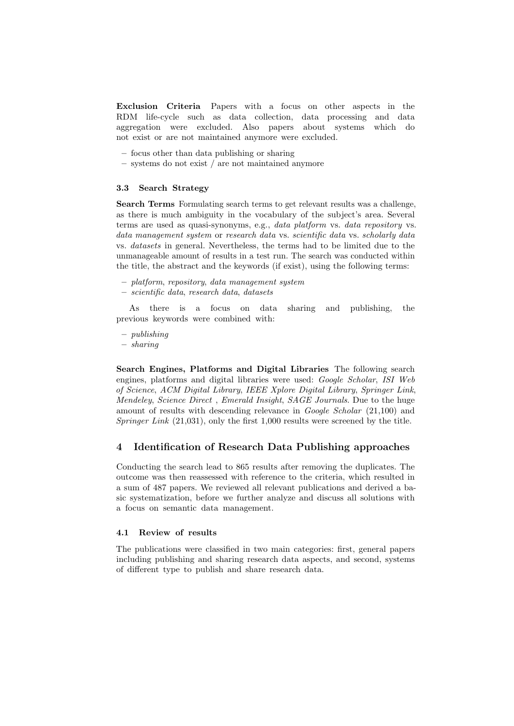Exclusion Criteria Papers with a focus on other aspects in the RDM life-cycle such as data collection, data processing and data aggregation were excluded. Also papers about systems which do not exist or are not maintained anymore were excluded.

- focus other than data publishing or sharing
- systems do not exist / are not maintained anymore

## 3.3 Search Strategy

Search Terms Formulating search terms to get relevant results was a challenge, as there is much ambiguity in the vocabulary of the subject's area. Several terms are used as quasi-synonyms, e.g., data platform vs. data repository vs. data management system or research data vs. scientific data vs. scholarly data vs. datasets in general. Nevertheless, the terms had to be limited due to the unmanageable amount of results in a test run. The search was conducted within the title, the abstract and the keywords (if exist), using the following terms:

- platform, repository, data management system
- scientific data, research data, datasets

As there is a focus on data sharing and publishing, the previous keywords were combined with:

- publishing
- sharing

Search Engines, Platforms and Digital Libraries The following search engines, platforms and digital libraries were used: Google Scholar, ISI Web of Science, ACM Digital Library, IEEE Xplore Digital Library, Springer Link, Mendeley, Science Direct , Emerald Insight, SAGE Journals. Due to the huge amount of results with descending relevance in *Google Scholar* (21,100) and Springer Link  $(21.031)$ , only the first 1,000 results were screened by the title.

## <span id="page-4-0"></span>4 Identification of Research Data Publishing approaches

Conducting the search lead to 865 results after removing the duplicates. The outcome was then reassessed with reference to the criteria, which resulted in a sum of 487 papers. We reviewed all relevant publications and derived a basic systematization, before we further analyze and discuss all solutions with a focus on semantic data management.

## 4.1 Review of results

The publications were classified in two main categories: first, general papers including publishing and sharing research data aspects, and second, systems of different type to publish and share research data.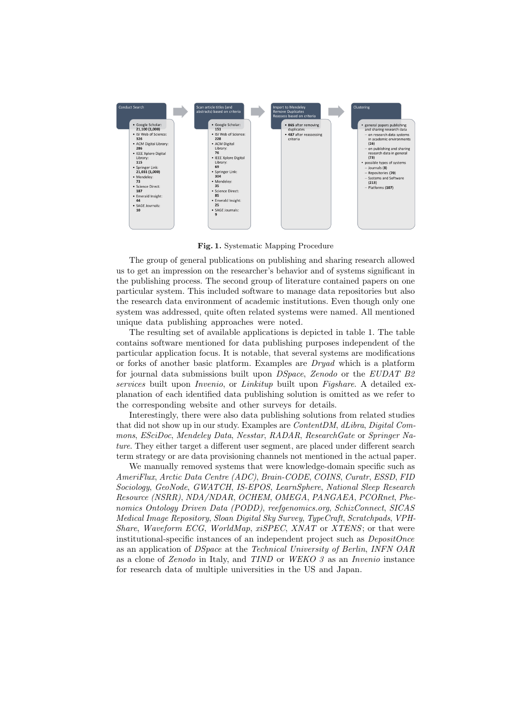

Fig. 1. Systematic Mapping Procedure

The group of general publications on publishing and sharing research allowed us to get an impression on the researcher's behavior and of systems significant in the publishing process. The second group of literature contained papers on one particular system. This included software to manage data repositories but also the research data environment of academic institutions. Even though only one system was addressed, quite often related systems were named. All mentioned unique data publishing approaches were noted.

The resulting set of available applications is depicted in table 1. The table contains software mentioned for data publishing purposes independent of the particular application focus. It is notable, that several systems are modifications or forks of another basic platform. Examples are Dryad which is a platform for journal data submissions built upon DSpace, Zenodo or the EUDAT B2 services built upon *Invenio*, or *Linkitup* built upon *Figshare*. A detailed explanation of each identified data publishing solution is omitted as we refer to the corresponding website and other surveys for details.

Interestingly, there were also data publishing solutions from related studies that did not show up in our study. Examples are ContentDM, dLibra, Digital Commons, ESciDoc, Mendeley Data, Nesstar, RADAR, ResearchGate or Springer Nature. They either target a different user segment, are placed under different search term strategy or are data provisioning channels not mentioned in the actual paper.

We manually removed systems that were knowledge-domain specific such as AmeriFlux, Arctic Data Centre (ADC), Brain-CODE, COINS, Curatr, ESSD, FID Sociology, GeoNode, GWATCH, IS-EPOS, LearnSphere, National Sleep Research Resource (NSRR), NDA/NDAR, OCHEM, OMEGA, PANGAEA, PCORnet, Phenomics Ontology Driven Data (PODD), reefgenomics.org, SchizConnect, SICAS Medical Image Repository, Sloan Digital Sky Survey, TypeCraft, Scratchpads, VPH-Share, Waveform ECG, WorldMap, xiSPEC, XNAT or XTENS; or that were institutional-specific instances of an independent project such as DepositOnce as an application of DSpace at the Technical University of Berlin, INFN OAR as a clone of Zenodo in Italy, and TIND or WEKO 3 as an Invenio instance for research data of multiple universities in the US and Japan.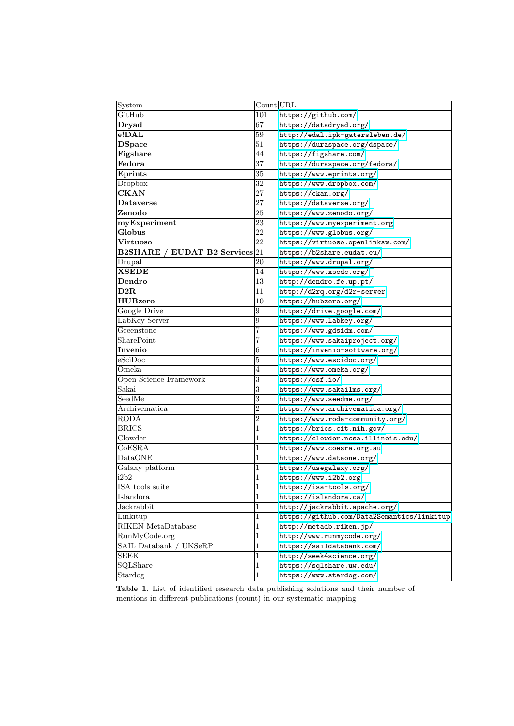| System                         | Count URL      |                                            |
|--------------------------------|----------------|--------------------------------------------|
| GitHub                         | 101            | https://github.com/                        |
| Dryad                          | 67             | https://datadryad.org/                     |
| e!DAL                          | 59             | http://edal.ipk-gatersleben.de/            |
| <b>DSpace</b>                  | 51             | https://duraspace.org/dspace/              |
| Figshare                       | 44             | https://figshare.com/                      |
| Fedora                         | 37             | https://duraspace.org/fedora/              |
| <b>Eprints</b>                 | 35             | https://www.eprints.org/                   |
| Dropbox                        | 32             | https://www.dropbox.com/                   |
| <b>CKAN</b>                    | 27             | https://ckan.org/                          |
| <b>Dataverse</b>               | 27             | https://dataverse.org/                     |
| Zenodo                         | 25             | https://www.zenodo.org/                    |
| myExperiment                   | 23             | https://www.myexperiment.org               |
| Globus                         | 22             | https://www.globus.org/                    |
| <b>Virtuoso</b>                | 22             | https://virtuoso.openlinksw.com/           |
| B2SHARE / EUDAT B2 Services 21 |                | https://b2share.eudat.eu/                  |
| Drupal                         | 20             | https://www.drupal.org/                    |
| <b>XSEDE</b>                   | 14             | https://www.xsede.org/                     |
| Dendro                         | 13             | http://dendro.fe.up.pt/                    |
| D2R                            | 11             | http://d2rq.org/d2r-server                 |
| <b>HUBzero</b>                 | 10             | https://hubzero.org/                       |
| Google Drive                   | 9              | https://drive.google.com/                  |
| LabKey Server                  | $\overline{9}$ | https://www.labkey.org/                    |
| Greenstone                     | 7              | https://www.gdsidm.com/                    |
| SharePoint                     | 7              | https://www.sakaiproject.org/              |
| Invenio                        | $\,6$          | https://invenio-software.org/              |
| eSciDoc                        | $\overline{5}$ | https://www.escidoc.org/                   |
| Omeka                          | 4              | https://www.omeka.org/                     |
| Open Science Framework         | $\sqrt{3}$     | https://osf.io/                            |
| Sakai                          | $\overline{3}$ | https://www.sakailms.org/                  |
| SeedMe                         | $\overline{3}$ | https://www.seedme.org/                    |
| Archivematica                  | 2              | https://www.archivematica.org/             |
| <b>RODA</b>                    | $\overline{2}$ | https://www.roda-community.org/            |
| <b>BRICS</b>                   | 1              | https://brics.cit.nih.gov/                 |
| Clowder                        | 1              | https://clowder.ncsa.illinois.edu/         |
| CoESRA                         | 1              | https://www.coesra.org.au                  |
| <b>DataONE</b>                 | 1              | https://www.dataone.org/                   |
| Galaxy platform                | 1              | https://usegalaxy.org/                     |
| i2b2                           | 1              | https://www.i2b2.org                       |
| ISA tools suite                | $\mathbf 1$    | https://isa-tools.org/                     |
| Islandora                      | 1              | https://islandora.ca/                      |
| Jackrabbit                     | 1              | http://jackrabbit.apache.org/              |
| Linkitup                       | $\mathbf{1}$   | https://github.com/Data2Semantics/linkitup |
| <b>RIKEN</b> MetaDatabase      | $\mathbf{1}$   | http://metadb.riken.jp/                    |
| RunMyCode.org                  | 1              | http://www.runmycode.org/                  |
| SAIL Databank /<br>UKSeRP      | 1              | https://saildatabank.com/                  |
| <b>SEEK</b>                    | 1              | http://seek4science.org/                   |
| SQLShare                       | 1              | https://sqlshare.uw.edu/                   |
| Stardog                        | 1              | https://www.stardog.com/                   |

Table 1. List of identified research data publishing solutions and their number of mentions in different publications (count) in our systematic mapping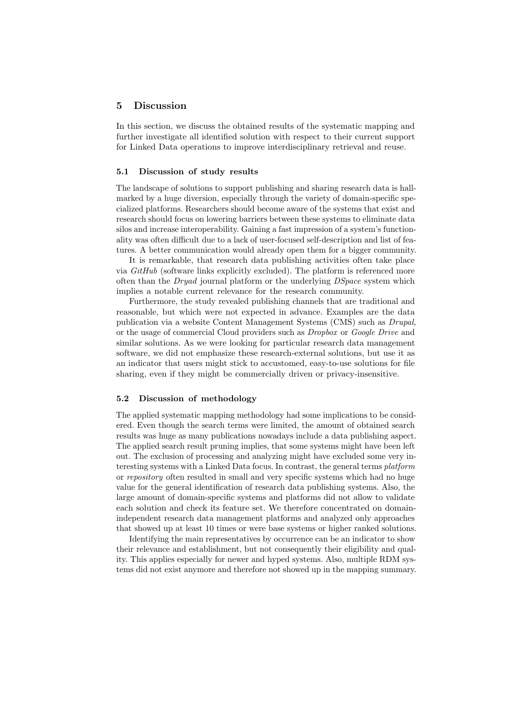## <span id="page-7-0"></span>5 Discussion

In this section, we discuss the obtained results of the systematic mapping and further investigate all identified solution with respect to their current support for Linked Data operations to improve interdisciplinary retrieval and reuse.

## 5.1 Discussion of study results

The landscape of solutions to support publishing and sharing research data is hallmarked by a huge diversion, especially through the variety of domain-specific specialized platforms. Researchers should become aware of the systems that exist and research should focus on lowering barriers between these systems to eliminate data silos and increase interoperability. Gaining a fast impression of a system's functionality was often difficult due to a lack of user-focused self-description and list of features. A better communication would already open them for a bigger community.

It is remarkable, that research data publishing activities often take place via GitHub (software links explicitly excluded). The platform is referenced more often than the  $Dryad$  journal platform or the underlying  $DSpace$  system which implies a notable current relevance for the research community.

Furthermore, the study revealed publishing channels that are traditional and reasonable, but which were not expected in advance. Examples are the data publication via a website Content Management Systems (CMS) such as Drupal, or the usage of commercial Cloud providers such as Dropbox or Google Drive and similar solutions. As we were looking for particular research data management software, we did not emphasize these research-external solutions, but use it as an indicator that users might stick to accustomed, easy-to-use solutions for file sharing, even if they might be commercially driven or privacy-insensitive.

#### 5.2 Discussion of methodology

The applied systematic mapping methodology had some implications to be considered. Even though the search terms were limited, the amount of obtained search results was huge as many publications nowadays include a data publishing aspect. The applied search result pruning implies, that some systems might have been left out. The exclusion of processing and analyzing might have excluded some very interesting systems with a Linked Data focus. In contrast, the general terms platform or repository often resulted in small and very specific systems which had no huge value for the general identification of research data publishing systems. Also, the large amount of domain-specific systems and platforms did not allow to validate each solution and check its feature set. We therefore concentrated on domainindependent research data management platforms and analyzed only approaches that showed up at least 10 times or were base systems or higher ranked solutions.

Identifying the main representatives by occurrence can be an indicator to show their relevance and establishment, but not consequently their eligibility and quality. This applies especially for newer and hyped systems. Also, multiple RDM systems did not exist anymore and therefore not showed up in the mapping summary.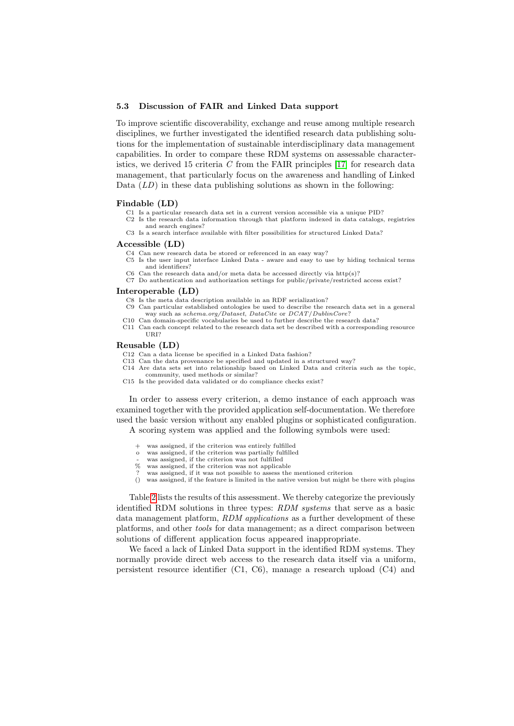#### 5.3 Discussion of FAIR and Linked Data support

To improve scientific discoverability, exchange and reuse among multiple research disciplines, we further investigated the identified research data publishing solutions for the implementation of sustainable interdisciplinary data management capabilities. In order to compare these RDM systems on assessable characteristics, we derived 15 criteria  $C$  from the FAIR principles [\[17\]](#page-11-7) for research data management, that particularly focus on the awareness and handling of Linked Data  $(LD)$  in these data publishing solutions as shown in the following:

#### Findable (LD)

- C1 Is a particular research data set in a current version accessible via a unique PID?
- C2 Is the research data information through that platform indexed in data catalogs, registries and search engines?
- C3 Is a search interface available with filter possibilities for structured Linked Data?

#### Accessible (LD)

- C4 Can new research data be stored or referenced in an easy way?
- C5 Is the user input interface Linked Data aware and easy to use by hiding technical terms and identifiers?
- C6 Can the research data and/or meta data be accessed directly via  $http(s)$ ?
- C7 Do authentication and authorization settings for public/private/restricted access exist?

#### Interoperable (LD)

- C8 Is the meta data description available in an RDF serialization? C9 Can particular established ontologies be used to describe the research data set in a general way such as schema.org/Dataset, DataCite or DCAT/DublinCore?
- C10 Can domain-specific vocabularies be used to further describe the research data?
- C11 Can each concept related to the research data set be described with a corresponding resource URI?

#### Reusable (LD)

- C12 Can a data license be specified in a Linked Data fashion?
- C13 Can the data provenance be specified and updated in a structured way? C14 Are data sets set into relationship based on Linked Data and criteria such as the topic, community, used methods or similar?
- C15 Is the provided data validated or do compliance checks exist?

In order to assess every criterion, a demo instance of each approach was examined together with the provided application self-documentation. We therefore used the basic version without any enabled plugins or sophisticated configuration. A scoring system was applied and the following symbols were used:

- + was assigned, if the criterion was entirely fulfilled
- was assigned, if the criterion was partially fulfilled
- was assigned, if the criterion was not fulfilled<br>% was assigned if the criterion was not applica
- was assigned, if the criterion was not applicable
- ? was assigned, if it was not possible to assess the mentioned criterion () was assigned if the feature is limited in the native version but might l was assigned, if the feature is limited in the native version but might be there with plugins

Table [2](#page-9-0) lists the results of this assessment. We thereby categorize the previously identified RDM solutions in three types: RDM systems that serve as a basic data management platform, RDM applications as a further development of these platforms, and other tools for data management; as a direct comparison between solutions of different application focus appeared inappropriate.

We faced a lack of Linked Data support in the identified RDM systems. They normally provide direct web access to the research data itself via a uniform, persistent resource identifier (C1, C6), manage a research upload (C4) and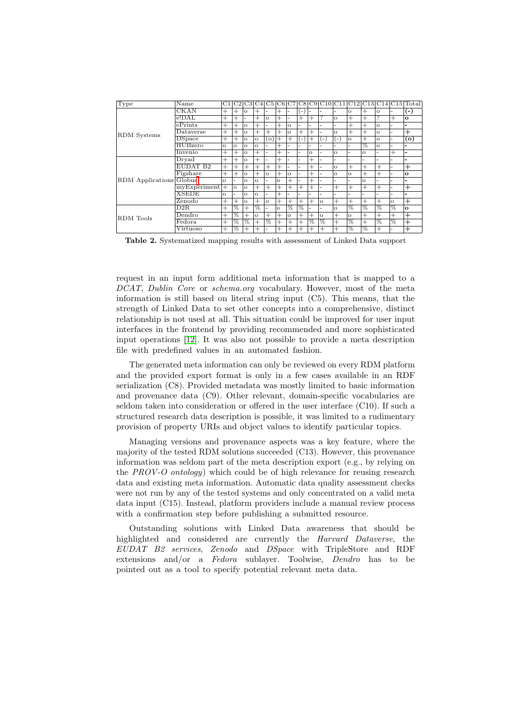| Type                    | Name                | C1       | C2       |          | C3 C4    |                    |         |          |                    |          |          |          |          |          |          |         | $ C5 C6 C7 C8 C9 C10 C11 C12 C13 C14 C15 Total$ |
|-------------------------|---------------------|----------|----------|----------|----------|--------------------|---------|----------|--------------------|----------|----------|----------|----------|----------|----------|---------|-------------------------------------------------|
| <b>RDM</b> Systems      | <b>CKAN</b>         | $^{+}$   | $^{+}$   | $\Omega$ | $^+$     | -                  | $^+$    |          | ( –                |          |          |          | $\Omega$ | $^+$     | $\circ$  | ۰       | $(-)$                                           |
|                         | $e!$ DAL            | $^{+}$   | $^{+}$   |          | $^{+}$   | $\Omega$           | $^+$    | -        | $^{+}$             | $^{+}$   | 7        | $\Omega$ | $^{+}$   | $+$      | 7        | $^{+}$  | $\Omega$                                        |
|                         | $e$ Prints          | $^{+}$   | $^{+}$   | $\Omega$ | $^{+}$   | -                  | $^{+}$  | $\Omega$ | -                  |          |          | ۰        | $^{+}$   | $^{+}$   | $\Omega$ | -       |                                                 |
|                         | Dataverse           | $^{+}$   | $^{+}$   | $\circ$  | $^+$     | $^{+}$             | $^+$    | $\circ$  | $^{+}$             | $^{+}$   |          | $\Omega$ | $^{+}$   | $^{+}$   | $\circ$  | -       | $^{+}$                                          |
|                         | <b>D</b> Space      | $^{+}$   | $^{+}$   | $\circ$  | $\circ$  | $\left( 0 \right)$ | $^+$    | $\, +$   | l –                | $^+$     | (-       | -        | $\Omega$ | $+$      | $\circ$  | ۰       | (o)                                             |
|                         | <b>HUBzero</b>      | $\Omega$ | $\Omega$ | $\Omega$ | $\Omega$ | ۰.                 | $^+$    |          |                    |          |          |          |          | फ्र      | $\circ$  | ۰       | -                                               |
|                         | Invenio             | $^{+}$   | $^{+}$   | $\circ$  | $^{+}$   | -                  | $^{+}$  |          | ۰.                 | $\Omega$ |          | $\Omega$ |          | $\Omega$ | ٠        | $^{+}$  | -                                               |
| RDM Applications Globus | $_{\rm{Dryad}}$     | $^{+}$   | $^{+}$   | $\Omega$ | $^{+}$   | -                  | $^+$    |          | ۰.                 | $^{+}$   |          |          |          |          | -        |         | -                                               |
|                         | EUDAT <sub>B2</sub> | $^{+}$   | $^{+}$   | $^{+}$   | $^{+}$   | $^{+}$             | $^{+}$  |          | -                  | $^{+}$   |          | $\Omega$ | $^{+}$   | $^{+}$   | $^{+}$   |         | $^{+}$                                          |
|                         | Figshare            | $^{+}$   | $^{+}$   | $\circ$  | $^{+}$   | $\Omega$           | $^+$    | $\Omega$ | ۰.                 | $^+$     |          | $\Omega$ | $\Omega$ | $^{+}$   | $^{+}$   | ۰       | $\Omega$                                        |
|                         |                     | $\Omega$ | -        | $\Omega$ | $\Omega$ | ۰.                 | $\circ$ | $^{+}$   | ۰                  | $^{+}$   |          | ۰        |          | $\Omega$ | ٠        | ۰       | -                                               |
|                         | myExperiment        | $^{+}$   | $\Omega$ | $\circ$  | $^{+}$   | $^{+}$             | $^{+}$  | $^{+}$   | $^{+}$             | $^{+}$   |          | $^{+}$   | $^{+}$   | $^{+}$   | $^{+}$   |         | $^{+}$                                          |
|                         | <b>XSEDE</b>        | $\Omega$ | -        | $\Omega$ | $\Omega$ | ۰.                 | $^+$    |          |                    |          |          |          |          |          |          |         |                                                 |
|                         | Zenodo              | $^{+}$   | $^{+}$   | $\Omega$ | $^{+}$   | $\Omega$           | $^{+}$  | $+$      | $^{+}$             | $^{+}$   | $\Omega$ | $^{+}$   | $^{+}$   | $^{+}$   | $^{+}$   | $\circ$ | $^+$                                            |
| RDM Tools               | D2R                 | $^{+}$   | $\%$     | $^{+}$   | %        | ۰.                 | $\circ$ | %        | %                  |          |          | $\circ$  | $\%$     | $\%$     | $\%$     | $\%$    | $\mathbf{o}$                                    |
|                         | Dendro              | $^{+}$   | $\%$     | $^{+}$   | $\Omega$ | $^{+}$             | $^{+}$  | $\circ$  | $^{+}$             | $^{+}$   | $\circ$  | $^{+}$   | $\circ$  | $^{+}$   | $^{+}$   | $^{+}$  | $^{+}$                                          |
|                         | $\rm{Fedora}$       | $^{+}$   | ℅        | फ्र      | $^{+}$   | ℅                  | $^{+}$  | $^{+}$   | $^{+}$             | ℅        | ℅        | $^{+}$   | %        | $^{+}$   | F        | 76      | $^{+}$                                          |
|                         | Virtuoso            | $^{+}$   | ℅        | $^+$     | $^+$     |                    | $^+$    | $^+$     | $\hspace{0.1mm} +$ | $^{+}$   | $^{+}$   | $^{+}$   | $\%$     | %        | $^{+}$   |         | $^{+}$                                          |

<span id="page-9-0"></span>Table 2. Systematized mapping results with assessment of Linked Data support

request in an input form additional meta information that is mapped to a DCAT, Dublin Core or schema.org vocabulary. However, most of the meta information is still based on literal string input (C5). This means, that the strength of Linked Data to set other concepts into a comprehensive, distinct relationship is not used at all. This situation could be improved for user input interfaces in the frontend by providing recommended and more sophisticated input operations [\[12\]](#page-11-8). It was also not possible to provide a meta description file with predefined values in an automated fashion.

The generated meta information can only be reviewed on every RDM platform and the provided export format is only in a few cases available in an RDF serialization (C8). Provided metadata was mostly limited to basic information and provenance data (C9). Other relevant, domain-specific vocabularies are seldom taken into consideration or offered in the user interface (C10). If such a structured research data description is possible, it was limited to a rudimentary provision of property URIs and object values to identify particular topics.

Managing versions and provenance aspects was a key feature, where the majority of the tested RDM solutions succeeded (C13). However, this provenance information was seldom part of the meta description export (e.g., by relying on the PROV-O ontology) which could be of high relevance for reusing research data and existing meta information. Automatic data quality assessment checks were not run by any of the tested systems and only concentrated on a valid meta data input (C15). Instead, platform providers include a manual review process with a confirmation step before publishing a submitted resource.

Outstanding solutions with Linked Data awareness that should be highlighted and considered are currently the Harvard Dataverse, the EUDAT B2 services, Zenodo and DSpace with TripleStore and RDF extensions and/or a Fedora sublayer. Toolwise, Dendro has to be pointed out as a tool to specify potential relevant meta data.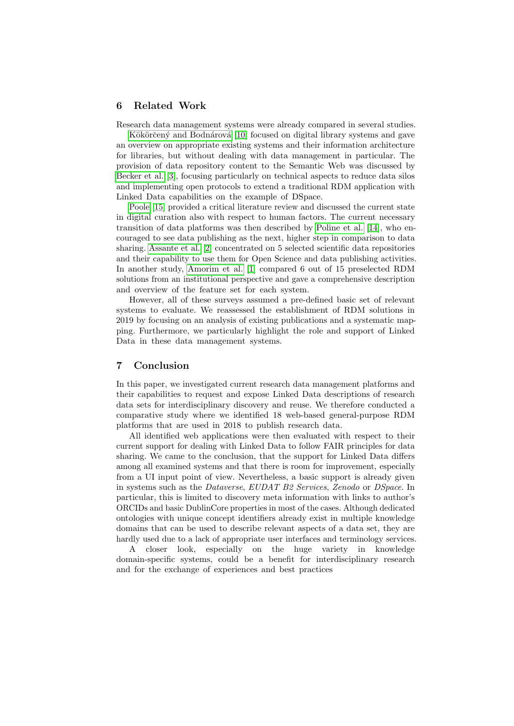## <span id="page-10-0"></span>6 Related Work

Research data management systems were already compared in several studies.

Kökörčený and Bodnárová [\[10\]](#page-11-9) focused on digital library systems and gave an overview on appropriate existing systems and their information architecture for libraries, but without dealing with data management in particular. The provision of data repository content to the Semantic Web was discussed by [Becker et al.](#page-11-10) [\[3\]](#page-11-10), focusing particularly on technical aspects to reduce data silos and implementing open protocols to extend a traditional RDM application with Linked Data capabilities on the example of DSpace.

[Poole](#page-11-11) [\[15\]](#page-11-11) provided a critical literature review and discussed the current state in digital curation also with respect to human factors. The current necessary transition of data platforms was then described by [Poline et al.](#page-11-12) [\[14\]](#page-11-12), who encouraged to see data publishing as the next, higher step in comparison to data sharing. [Assante et al.](#page-11-13) [\[2\]](#page-11-13) concentrated on 5 selected scientific data repositories and their capability to use them for Open Science and data publishing activities. In another study, [Amorim et al.](#page-11-14) [\[1\]](#page-11-14) compared 6 out of 15 preselected RDM solutions from an institutional perspective and gave a comprehensive description and overview of the feature set for each system.

However, all of these surveys assumed a pre-defined basic set of relevant systems to evaluate. We reassessed the establishment of RDM solutions in 2019 by focusing on an analysis of existing publications and a systematic mapping. Furthermore, we particularly highlight the role and support of Linked Data in these data management systems.

# <span id="page-10-1"></span>7 Conclusion

In this paper, we investigated current research data management platforms and their capabilities to request and expose Linked Data descriptions of research data sets for interdisciplinary discovery and reuse. We therefore conducted a comparative study where we identified 18 web-based general-purpose RDM platforms that are used in 2018 to publish research data.

All identified web applications were then evaluated with respect to their current support for dealing with Linked Data to follow FAIR principles for data sharing. We came to the conclusion, that the support for Linked Data differs among all examined systems and that there is room for improvement, especially from a UI input point of view. Nevertheless, a basic support is already given in systems such as the Dataverse, EUDAT B2 Services, Zenodo or DSpace. In particular, this is limited to discovery meta information with links to author's ORCIDs and basic DublinCore properties in most of the cases. Although dedicated ontologies with unique concept identifiers already exist in multiple knowledge domains that can be used to describe relevant aspects of a data set, they are hardly used due to a lack of appropriate user interfaces and terminology services.

A closer look, especially on the huge variety in knowledge domain-specific systems, could be a benefit for interdisciplinary research and for the exchange of experiences and best practices